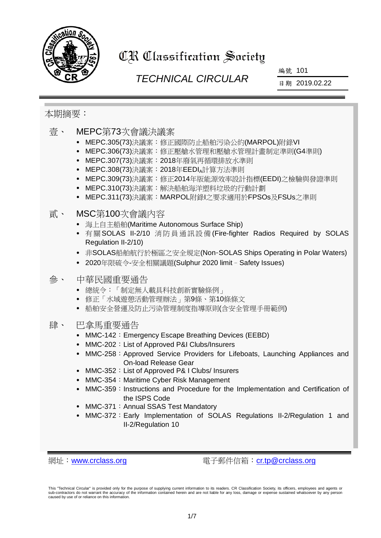

# CR Classification Society

# *TECHNICAL CIRCULAR*

編號 101

日期 2019.02.22

### 本期摘要:

- 壹、 MEPC第73次會議決議案
	- MEPC.305(73)決議案:修正國際防止船舶污染公約(MARPOL)附錄VI
	- MEPC.306(73)決議案:修正壓艙水管理和壓艙水管理計畫制定準則(G4準則)
	- MEPC.307(73)決議案:2018年廢氣再循環排放水準則
	- MEPC.308(73)決議案:2018年EEDI 計算方法準則
	- MEPC.309(73)決議案:修正2014年版能源效率設計指標(EEDI)之檢驗與發證準則
	- MEPC.310(73)決議案:解決船舶海洋塑料垃圾的行動計劃
	- MEPC.311(73)決議案:MARPOL附錄I之要求適用於FPSOs及FSUs之準則

## 貳、 MSC第100次會議內容

- 海上自主船舶(Maritime Autonomous Surface Ship)
- 有關SOLAS II-2/10 消防員通訊設備 (Fire-fighter Radios Required by SOLAS Regulation II-2/10)
- 非SOLAS船舶航行於極區之安全規定(Non-SOLAS Ships Operating in Polar Waters)
- 2020年限硫令-安全相關議題(Sulphur 2020 limit–Safety Issues)
- 參、 中華民國重要通告
	- 總統令:「制定無人載具科技創新實驗條例」
	- 修正「水域遊憩活動管理辦法」第9條、第10條條文
	- 船舶安全營運及防止污染管理制度指導原則(含安全管理手冊範例)
- 肆、 巴拿馬重要通告
	- MMC-142: Emergency Escape Breathing Devices (EEBD)
	- MMC-202: List of Approved P&I Clubs/Insurers
	- MMC-258: Approved Service Providers for Lifeboats, Launching Appliances and On-load Release Gear
	- MMC-352: List of Approved P& I Clubs/ Insurers
	- MMC-354: Maritime Cyber Risk Management
	- MMC-359: Instructions and Procedure for the Implementation and Certification of the ISPS Code
	- MMC-371: Annual SSAS Test Mandatory
	- MMC-372: Early Implementation of SOLAS Regulations II-2/Regulation 1 and II-2/Regulation 10

網址:[www.crclass.org](http://www.crclass.org/) 電子郵件信箱:[cr.tp@crclass.org](mailto:cr.tp@crclass.org)

This "Technical Circular" is provided only for the purpose of supplying current information to its readers. CR Classification Society, its officers, employees and agents or sub-contractors do not warrant the accuracy of the information contained herein and are not liable for any loss, damage or expense sustained whatsoever by any person caused by use of or reliance on this information.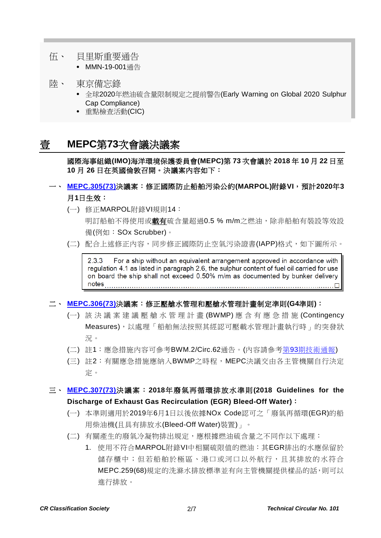- 伍、 貝里斯重要通告
	- MMN-19-001通告
- 陸、 東京備忘錄
	- 全球2020年燃油硫含量限制規定之提前警告(Early Warning on Global 2020 Sulphur Cap Compliance)
	- 重點檢查活動(CIC)

# 壹 **MEPC**第**73**次會議決議案

國際海事組織**(IMO)**海洋環境保護委員會**(MEPC)**第 **73** 次會議於 **2018** 年 **10** 月 **22** 日至 **10** 月 **26** 日在英國倫敦召開。決議案內容如下:

### 一、 **[MEPC.305\(73\)](https://www.crclass.org/chinese/download/ti-tc/101/1-1%20MEPC.305(73).pdf)**決議案:修正國際防止船舶污染公約**(MARPOL)**附錄**VI**,預計**2020**年**3** 月**1**日生效:

(一) 修正MARPOL附錄VI規則14:

明訂船舶不得使用或載有硫含量超過0.5 % m/m之燃油,除非船舶有裝設等效設 備(例如:SOx Scrubber)。

(二) 配合上述修正内容,同步修正國際防止空氣污染證書(IAPP)格式,如下圖所示。

For a ship without an equivalent arrangement approved in accordance with  $2.3.3$ regulation 4.1 as listed in paragraph 2.6, the sulphur content of fuel oil carried for use on board the ship shall not exceed 0.50% m/m as documented by bunker delivery 

### 二、 **[MEPC.306\(73\)](https://www.crclass.org/chinese/download/ti-tc/101/1-2%20MEPC.306(73).pdf)**決議案:修正壓艙水管理和壓艙水管理計畫制定準則**(G4**準則**)**:

- (一) 該決議案建議壓艙水管理計畫 (BWMP) 應含有應急措施 (Contingency Measures),以處理「船舶無法按照其經認可壓載水管理計畫執行時」的突發狀 況。
- (二) 註1:應急措施內容可參考BWM.2/Circ.62通告。(內容請參考第93[期技術通報](https://www.crclass.org/chinese/download/ti-tc/93/93.pdf))
- (三) 註2:有關應急措施應納入BWMP之時程,MEPC決議交由各主管機關自行決定 定。

### 三、 **[MEPC.307\(73\)](https://www.crclass.org/chinese/download/ti-tc/101/1-3%20MEPC.307(73).pdf)**決議案:**2018**年廢氣再循環排放水準則**(2018 Guidelines for the Discharge of Exhaust Gas Recirculation (EGR) Bleed-Off Water)**:

- (一) 本準則適用於2019年6月1日以後依據NOx Code認可之「廢氣再循環(EGR)的船 用柴油機(且具有排放水(Bleed-Off Water)裝置)」。
- (二) 有關產生的廢氣冷凝物排出規定,應根據燃油硫含量之不同作以下處理:
	- 1. 使用不符合MARPOL附錄VI中相關硫限值的燃油:其EGR排出的水應保留於 儲存櫃中;但若船舶於極區、港口或河口以外航行,且其排放的水符合 MEPC.259(68)規定的洗滌水排放標準並有向主管機關提供樣品的話,則可以 進行排放。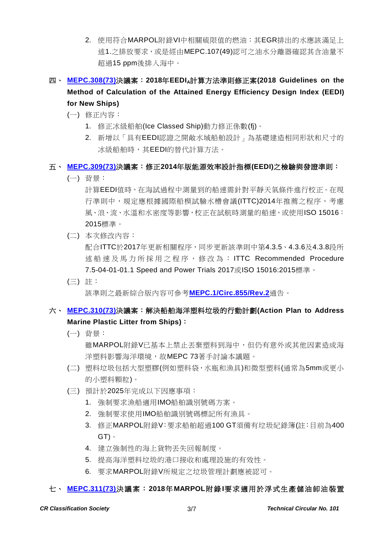2. 使用符合MARPOL附錄VI中相關硫限值的燃油:其EGR排出的水應該滿足上 述1.之排放要求,或是經由MEPC.107(49)認可之油水分離器確認其含油量不 超過15 ppm後排入海中。

# 四、 **[MEPC.308\(73\)](https://www.crclass.org/chinese/download/ti-tc/101/1-4%20MEPC.308(73).pdf)**決議案:**2018**年**EEDIA**計算方法準則修正案**(2018 Guidelines on the Method of Calculation of the Attained Energy Efficiency Design Index (EEDI) for New Ships)**

- (一) 修正內容:
	- 1. 修正冰級船舶(Ice Classed Ship)動力修正係數(fj)。
	- 2. 新增以「具有EEDI認證之開敞水域船舶設計」為基礎建造相同形狀和尺寸的 冰級船舶時,其EEDI的替代計算方法。

### 五、 **[MEPC.309\(73\)](https://www.crclass.org/chinese/download/ti-tc/101/1-5%20MEPC.309(73).pdf)**決議案:修正**2014**年版能源效率設計指標**(EEDI)**之檢驗與發證準則:

(一) 背景:

計算EEDI值時,在海試過程中測量到的船速需針對平靜天氣條件進行校正。在現 行準則中,規定應根據國際船模試驗水槽會議(ITTC)2014年推薦之程序,考慮 風、浪、流、水溫和水密度等影響,校正在試航時測量的船速,或使用ISO 15016: 2015標準。

(二) 本次修改內容:

配合ITTC於2017年更新相關程序,同步更新該準則中第4.3.5、4.3.6及4.3.8段所 述船速及馬力所採用之程序 , 修改為 : ITTC Recommended Procedure 7.5-04-01-01.1 Speed and Power Trials 2017或ISO 15016:2015標準。

(三) 註:

該準則之最新綜合版內容可參考**[MEPC.1/Circ.855/Rev.2](https://www.crclass.org/chinese/download/ti-tc/101/1-6%20MEPC.1-Circ.855-Rev.2%20-%202014%20Guidelines%20On%20Survey%20And%20Certification%20OfThe%20Energy%20Efficiency%20Design%20Index%20(Eedi),%20A...%20(Secretariat).pdf)**通告。

## 六、 **[MEPC.310\(73\)](https://www.crclass.org/chinese/download/ti-tc/101/1-7%20MEPC.310(73).pdf)**決議案:解決船舶海洋塑料垃圾的行動計劃**(Action Plan to Address Marine Plastic Litter from Ships)**:

(一) 背景:

雖MARPOL附錄V已基本上禁止丟棄塑料到海中,但仍有意外或其他因素造成海 洋塑料影響海洋環境,故MEPC 73著手討論本議題。

- (二) 塑料垃圾包括大型塑膠(例如塑料袋,水瓶和漁具)和微型塑料(通常為5mm或更小 的小塑料顆粒)。
- (三) 預計於2025年完成以下因應事項:
	- 1. 強制要求漁船適用IMO船舶識別號碼方案。
	- 2. 強制要求使用IMO船舶識別號碼標記所有漁具。
	- 3. 修正MARPOL附錄V:要求船舶超過100 GT須備有垃圾紀錄簿(註:目前為400 GT)。
	- 4. 建立強制性的海上貨物丟失回報制度。
	- 5. 提高海洋塑料垃圾的港口接收和處理設施的有效性。
	- 6. 要求MARPOL附錄V所規定之垃圾管理計劃應被認可。

### 七、 **[MEPC.311\(73\)](https://www.crclass.org/chinese/download/ti-tc/101/1-8%20MEPC.311(73).pdf)**決議案:**2018**年**MARPOL**附錄**I**要求適用於浮式生產儲油卸油裝置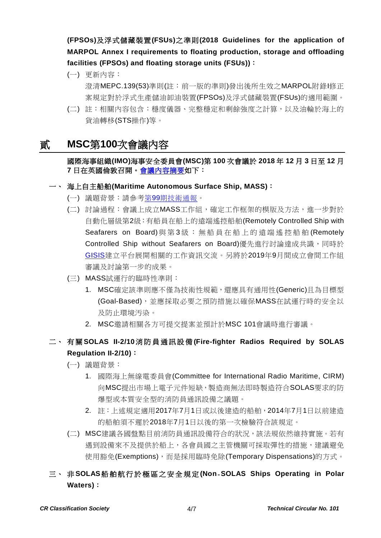**(FPSOs)**及浮式儲藏裝置**(FSUs)**之準則**(2018 Guidelines for the application of MARPOL Annex I requirements to floating production, storage and offloading facilities (FPSOs) and floating storage units (FSUs))**:

(一) 更新內容:

澄清MEPC.139(53)準則(註:前一版的準則)發出後所生效之MARPOL附錄I修正 案規定對於浮式生產儲油卸油裝置(FPSOs)及浮式儲藏裝置(FSUs)的適用範圍。

(二) 註:相關內容包含:穩度儀器、完整穩定和剩餘強度之計算,以及油輪於海上的 貨油轉移(STS操作)等。

# 貳 **MSC**第**100**次會議內容

國際海事組織**(IMO)**海事安全委員會**(MSC)**第 **100** 次會議於 **2018** 年 **12** 月 **3** 日至 **12** 月 **7** 日在英國倫敦召開[。會議內容摘要如](http://www.imo.org/en/MediaCentre/MeetingSummaries/MSC/Pages/MSC-100th-session.aspx)下:

#### 一、 海上自主船舶**(Maritime Autonomous Surface Ship, MASS)**:

- (一) 議題背景:請參考第99[期技術通報。](https://www.crclass.org/chinese/download/ti-tc/99/99.pdf)
- (二) 討論過程:會議上成立MASS工作組,確定工作框架的模版及方法,進一步對於 自動化層級第2級:有船員在船上的遠端遙控船舶(Remotely Controlled Ship with Seafarers on Board) 與 第 3 級 : 無船員在船上的遠端遙控船舶 (Remotely Controlled Ship without Seafarers on Board)優先進行討論達成共識,同時於 [GISIS](https://gisis.imo.org/Public/Default.aspx)建立平台展開相關的工作資訊交流。另將於2019年9月間成立會間工作組 審議及討論第一步的成果。
- (三) MASS試運行的臨時性準則:
	- 1. MSC確定該準則應不僅為技術性規範,還應具有通用性(Generic)且為目標型 (Goal-Based),並應採取必要之預防措施以確保MASS在試運行時的安全以 及防止環境汚染。
	- 2. MSC邀請相關各方可提交提案並預計於MSC 101會議時進行審議。

## 二、 有 關 **SOLAS II-2/10**消防員通訊設備 **(Fire-fighter Radios Required by SOLAS Regulation II-2/10)**:

- (一) 議題背景:
	- 1. 國際海上無線電委員會(Committee for International Radio Maritime, CIRM) 向MSC提出市場上電子元件短缺,製造商無法即時製造符合SOLAS要求的防 爆型或本質安全型的消防員通訊設備之議題。
	- 2. 註:上述規定適用2017年7月1日或以後建造的船舶,2014年7月1日以前建造 的船舶須不遲於2018年7月1日以後的第一次檢驗符合該規定。
- (二) MSC建議各國盤點目前消防員通訊設備符合的狀況,該法規依然維持實施。若有 遇到設備來不及提供於船上,各會員國之主管機關可採取彈性的措施,建議避免 使用豁免(Exemptions),而是採用臨時免除(Temporary Dispensations)的方式。
- 三、 非 **SOLAS**船舶航行於極區之安全規定 **(Non**‐**SOLAS Ships Operating in Polar Waters)**: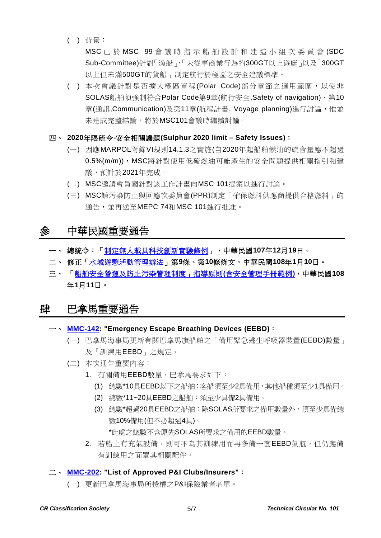(一) 背景:

MSC 已 於 MSC 99 會 議 時指示船舶設計和建造小組次委員會 (SDC Sub-Committee)針對「漁船」,「未從事商業行為的300GT以上遊艇」以及「300GT 以上但未滿500GT的貨船」制定航行於極區之安全建議標準。

(二) 本次會議針對是否擴大極區章程(Polar Code)部分章節之適用範圍,以使非 SOLAS船舶須強制符合Polar Code第9章(航行安全,Safety of navigation)、第10 章(通訊,Communication)及第11章(航程計書, Voyage planning)進行討論,惟並 未達成完整結論,將於MSC101會議時繼續討論。

#### 四、 **2020**年限硫令**-**安全相關議題**(Sulphur 2020 limit – Safety Issues)**:

- (一) 因應MARPOL附錄VI規則14.1.3之實施(自2020年起船舶燃油的硫含量應不超過 0.5%(m/m)), MSC將針對使用低硫燃油可能產生的安全問題提供相關指引和建 議,預計於2021年完成。
- (二) MSC邀請會員國針對該工作計畫向MSC 101提案以進行討論。
- (三) MSC請污染防止與回應次委員會(PPR)制定「確保燃料供應商提供合格燃料」的 通告,並再送至MEPC 74和MSC 101進行批准。

# 參 中華民國重要通告

- 一、 總統令:[「制定無人載具科技創新實驗條例」](https://www.president.gov.tw/Page/294/46309/%E5%88%B6%E5%AE%9A%E7%84%A1%E4%BA%BA%E8%BC%89%E5%85%B7%E7%A7%91%E6%8A%80%E5%89%B5%E6%96%B0%E5%AF%A6%E9%A9%97%E6%A2%9D%E4%BE%8B-),中華民國**107**年**12**月**19**日。
- 二、 修正[「水域遊憩活動管理辦法」](https://gazette.nat.gov.tw/egFront/detail.do?metaid=104156&log=detailLog)第**9**條、第**10**條條文,中華民國**108**年**1**月**10**日。
- 三、 [「船舶安全營運及防止污染管理制度」指導原則](https://www.motcmpb.gov.tw/downloadfilelist_83_61_1.html)**(**含安全管理手冊範例**)**,中華民國**108** 年**1**月**11**日。

### 肆 巴拿馬重要通告

#### 一、 **[MMC-142:](https://www.crclass.org/chinese/download/ti-tc/101/4-1%20MMC-142-Emergency-Escape-Breathing-Devices-EEBDs-January-29-2019.pdf) "Emergency Escape Breathing Devices (EEBD)**:

- (一) 巴拿馬海事局更新有關巴拿馬旗船舶之「備用緊急逃生呼吸器裝置(EEBD)數量」 及「訓練用EEBD」之規定。
- (二) 本次通告重要內容:
	- 1. 有關備用EEBD數量,巴拿馬要求如下:
		- (1) 總數\*10具EEBD以下之船舶:客船須至少2具備用,其他船種須至少1具備用。
		- (2) 總數\*11~20具EEBD之船舶:須至少具備2具備用。
		- (3) 總數\*超過20具EEBD之船舶:除SOLAS所要求之備用數量外,須至少具備總 數10%備用(但不必超過4具)。

\*此處之總數不含原先SOLAS所要求之備用的EEBD數量。

2. 若船上有充氣設備,則可不為其訓練用而再多備一套EEBD氣瓶,但仍應備 有訓練用之面罩其相關配件。

#### 二、 **[MMC-202:](https://www.crclass.org/chinese/download/ti-tc/101/4-2%20MMC-202-january-2019.pdf) "List of Approved P&I Clubs/Insurers"**:

(一) 更新巴拿馬海事局所授權之P&I保險業者名單。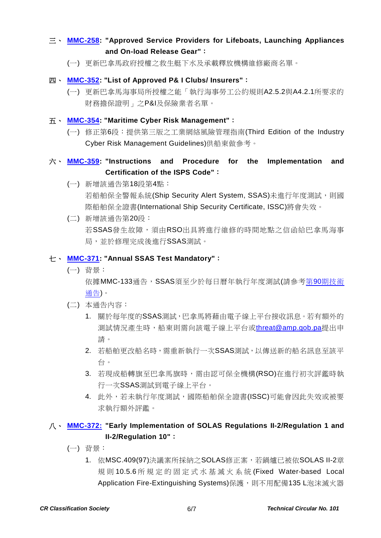### 三、 **[MMC-258:](https://www.crclass.org/chinese/download/ti-tc/101/4-3%20MMC-258-FEBRERO-2019.pdf) "Approved Service Providers for Lifeboats, Launching Appliances and On-load Release Gear"**:

- (一) 更新巴拿馬政府授權之救生艇下水及承載釋放機構維修廠商名單。
- 四、 **[MMC-352:](https://www.crclass.org/chinese/download/ti-tc/101/4-4%20MMC-352-FEBRUARY-13-2019.pdf) "List of Approved P& I Clubs/ Insurers"**:
	- (一) 更新巴拿馬海事局所授權之能「執行海事勞工公約規則A2.5.2與A4.2.1所要求的 財務擔保證明」之P&I及保險業者名單。

#### 五、 **[MMC-354:](https://www.crclass.org/chinese/download/ti-tc/101/4-5%20MMC-354-December-2018.pdf) "Maritime Cyber Risk Management"**:

(一) 修正第6段:提供第三版之工業網絡風險管理指南(Third Edition of the Industry Cyber Risk Management Guidelines)供船東做參考。

### 六、 **[MMC-359:](https://www.crclass.org/chinese/download/ti-tc/101/4-6%20MMC-359-28-01-2019-1.pdf) "Instructions and Procedure for the Implementation and Certification of the ISPS Code"**:

- (一) 新增該通告第18段第4點: 若船舶保全警報系統(Ship Security Alert System, SSAS)未進行年度測試,則國 際船舶保全證書(International Ship Security Certificate, ISSC)將會失效。
- (二) 新增該通告第20段: 若SSAS發生故障,須由RSO出具將進行維修的時間地點之信函給巴拿馬海事 局,並於修理完成後進行SSAS測試。

#### 七、 **[MMC-371:](https://www.crclass.org/chinese/download/ti-tc/101/4-7%20MMC-371-23-01-2019.pdf) "Annual SSAS Test Mandatory"**:

(一) 背景:

依據MMC-133通告,SSAS須至少於每日曆年執行年度測試(請參考第90[期技術](https://www.crclass.org/chinese/download/ti-tc/90/90.pdf) [通告](https://www.crclass.org/chinese/download/ti-tc/90/90.pdf))。

- (二) 本通告內容:
	- 1. 關於每年度的SSAS測試,巴拿馬將藉由電子線上平台接收訊息。若有額外的 測試情況產生時,船東則需向該電子線上平台或[threat@amp.gob.pa](mailto:threat@amp.gob.pa)提出申 請。
	- 2. 若船舶更改船名時,需重新執行一次SSAS測試,以傳送新的船名訊息至該平 台。
	- 3. 若現成船轉旗至巴拿馬旗時,需由認可保全機構(RSO)在進行初次評鑑時執 行一次SSAS測試到電子線上平台。
	- 4. 此外,若未執行年度測試,國際船舶保全證書(ISSC)可能會因此失效或被要 求執行額外評鑑。

### 八、 **[MMC-372:](https://www.crclass.org/chinese/download/ti-tc/101/4-8%20MMC-372.pdf) "Early Implementation of SOLAS Regulations II-2/Regulation 1 and II-2/Regulation 10"**:

- (一) 背景:
	- 1. 依MSC.409(97)決議案所採納之SOLAS修正案,若鍋爐已被依SOLAS II-2章 規則 10.5.6 所規定的固定式水基滅火系統 (Fixed Water-based Local Application Fire-Extinguishing Systems)保護,則不用配備135 L泡沫滅火器